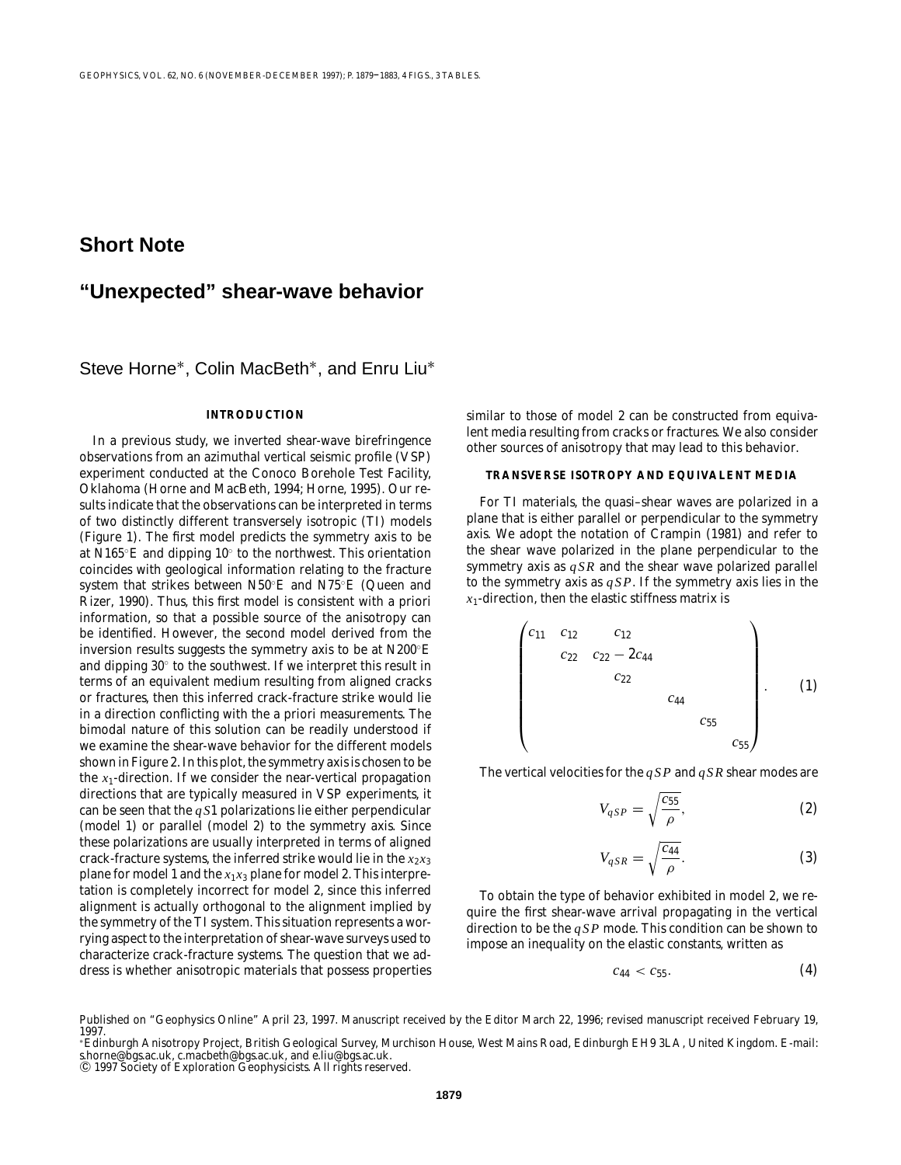# **Short Note**

# **"Unexpected" shear-wave behavior**

Steve Horne∗, Colin MacBeth∗, and Enru Liu∗

## **INTRODUCTION**

In a previous study, we inverted shear-wave birefringence observations from an azimuthal vertical seismic profile (VSP) experiment conducted at the Conoco Borehole Test Facility, Oklahoma (Horne and MacBeth, 1994; Horne, 1995). Our results indicate that the observations can be interpreted in terms of two distinctly different transversely isotropic (TI) models (Figure 1). The first model predicts the symmetry axis to be at N165◦E and dipping 10◦ to the northwest. This orientation coincides with geological information relating to the fracture system that strikes between N50◦E and N75◦E (Queen and Rizer, 1990). Thus, this first model is consistent with a priori information, so that a possible source of the anisotropy can be identified. However, the second model derived from the inversion results suggests the symmetry axis to be at N200◦E and dipping 30◦ to the southwest. If we interpret this result in terms of an equivalent medium resulting from aligned cracks or fractures, then this inferred crack-fracture strike would lie in a direction conflicting with the a priori measurements. The bimodal nature of this solution can be readily understood if we examine the shear-wave behavior for the different models shown in Figure 2. In this plot, the symmetry axis is chosen to be the  $x_1$ -direction. If we consider the near-vertical propagation directions that are typically measured in VSP experiments, it can be seen that the *q S*1 polarizations lie either perpendicular (model 1) or parallel (model 2) to the symmetry axis. Since these polarizations are usually interpreted in terms of aligned crack-fracture systems, the inferred strike would lie in the  $x_2x_3$ plane for model 1 and the *x*1*x*<sup>3</sup> plane for model 2. This interpretation is completely incorrect for model 2, since this inferred alignment is actually orthogonal to the alignment implied by the symmetry of the TI system. This situation represents a worrying aspect to the interpretation of shear-wave surveys used to characterize crack-fracture systems. The question that we address is whether anisotropic materials that possess properties similar to those of model 2 can be constructed from equivalent media resulting from cracks or fractures. We also consider other sources of anisotropy that may lead to this behavior.

## **TRANSVERSE ISOTROPY AND EQUIVALENT MEDIA**

For TI materials, the quasi–shear waves are polarized in a plane that is either parallel or perpendicular to the symmetry axis. We adopt the notation of Crampin (1981) and refer to the shear wave polarized in the plane perpendicular to the symmetry axis as *qSR* and the shear wave polarized parallel to the symmetry axis as *qSP*. If the symmetry axis lies in the  $x_1$ -direction, then the elastic stiffness matrix is

$$
\begin{pmatrix} c_{11} & c_{12} & c_{12} \\ c_{22} & c_{22} - 2c_{44} & \\ c_{22} & & \\ & c_{44} & \\ & & c_{55} & \\ & & & c_{55} \end{pmatrix} . \qquad (1)
$$

The vertical velocities for the *qSP* and *qSR* shear modes are

$$
V_{qSP} = \sqrt{\frac{c_{55}}{\rho}},\tag{2}
$$

$$
V_{qSR} = \sqrt{\frac{c_{44}}{\rho}}.\t(3)
$$

To obtain the type of behavior exhibited in model 2, we require the first shear-wave arrival propagating in the vertical direction to be the *qSP* mode. This condition can be shown to impose an inequality on the elastic constants, written as

$$
c_{44} < c_{55}.\tag{4}
$$

Published on "Geophysics Online" April 23, 1997. Manuscript received by the Editor March 22, 1996; revised manuscript received February 19, 1997.

<sup>∗</sup>Edinburgh Anisotropy Project, British Geological Survey, Murchison House, West Mains Road, Edinburgh EH9 3LA, United Kingdom. E-mail: s.horne@bgs.ac.uk, c.macbeth@bgs.ac.uk, and e.liu@bgs.ac.uk.

<sup>© 1997</sup> Society of Exploration Geophysicists. All rights reserved.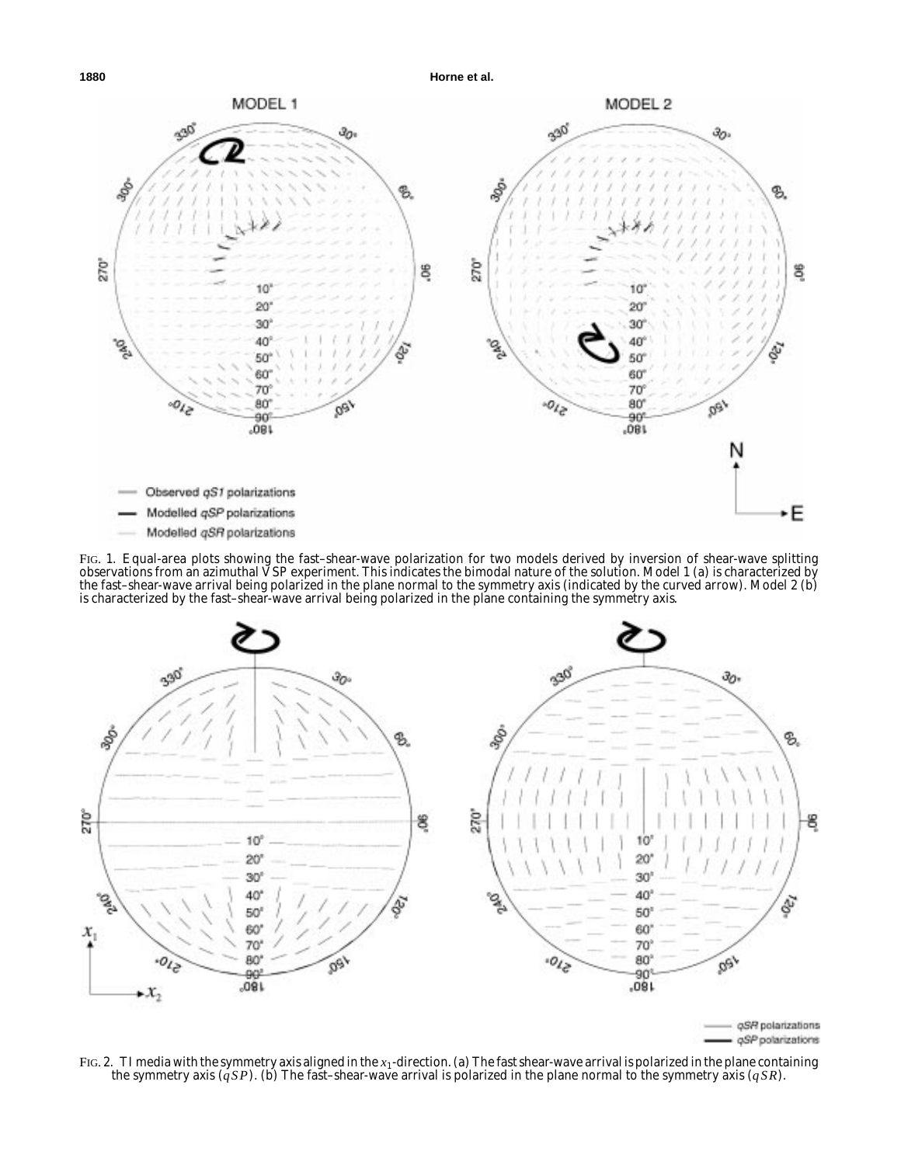**1880 Horne et al.**



FIG. 1. Equal-area plots showing the fast–shear-wave polarization for two models derived by inversion of shear-wave splitting observations from an azimuthal VSP experiment. This indicates the bimodal nature of the solution. Model 1 (a) is characterized by the fast–shear-wave arrival being polarized in the plane normal to the symmetry axis (indicated by the curved arrow). Model 2 (b) is characterized by the fast–shear-wave arrival being polarized in the plane containing the symmetry axis.



qSP polarizations

FIG. 2. TI media with the symmetry axis aligned in the  $x_1$ -direction. (a) The fast shear-wave arrival is polarized in the plane containing the symmetry axis ( $qSP$ ). (b) The fast-shear-wave arrival is polarized in the pl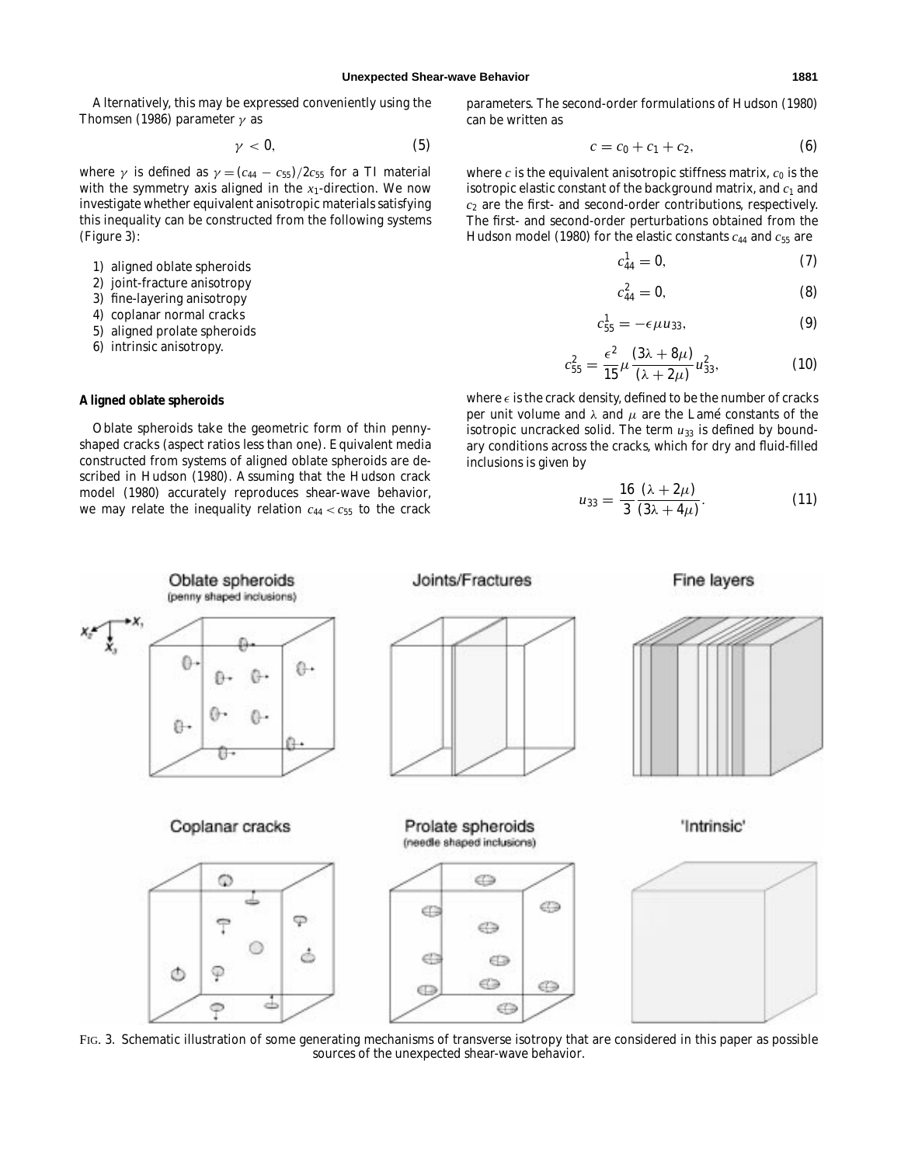Alternatively, this may be expressed conveniently using the Thomsen (1986) parameter  $\gamma$  as

$$
\gamma < 0,\tag{5}
$$

where  $\gamma$  is defined as  $\gamma = (c_{44} - c_{55})/2c_{55}$  for a TI material with the symmetry axis aligned in the  $x_1$ -direction. We now investigate whether equivalent anisotropic materials satisfying this inequality can be constructed from the following systems (Figure 3):

- 1) aligned oblate spheroids
- 2) joint-fracture anisotropy
- 3) fine-layering anisotropy
- 4) coplanar normal cracks
- 5) aligned prolate spheroids
- 6) intrinsic anisotropy.

# **Aligned oblate spheroids**

Oblate spheroids take the geometric form of thin pennyshaped cracks (aspect ratios less than one). Equivalent media constructed from systems of aligned oblate spheroids are described in Hudson (1980). Assuming that the Hudson crack model (1980) accurately reproduces shear-wave behavior, we may relate the inequality relation  $c_{44} < c_{55}$  to the crack

parameters. The second-order formulations of Hudson (1980) can be written as

$$
c = c_0 + c_1 + c_2, \t\t(6)
$$

where  $c$  is the equivalent anisotropic stiffness matrix,  $c_0$  is the isotropic elastic constant of the background matrix, and  $c_1$  and *c*<sup>2</sup> are the first- and second-order contributions, respectively. The first- and second-order perturbations obtained from the Hudson model (1980) for the elastic constants  $c_{44}$  and  $c_{55}$  are

$$
c_{44}^1 = 0,\t\t(7)
$$

$$
c_{44}^2 = 0,\t\t(8)
$$

$$
c_{55}^1 = -\epsilon \mu u_{33},\tag{9}
$$

$$
c_{55}^2 = \frac{\epsilon^2}{15} \mu \frac{(3\lambda + 8\mu)}{(\lambda + 2\mu)} u_{33}^2, \tag{10}
$$

where  $\epsilon$  is the crack density, defined to be the number of cracks per unit volume and  $\lambda$  and  $\mu$  are the Lamé constants of the isotropic uncracked solid. The term  $u_{33}$  is defined by boundary conditions across the cracks, which for dry and fluid-filled inclusions is given by

$$
u_{33} = \frac{16}{3} \frac{(\lambda + 2\mu)}{(3\lambda + 4\mu)}.
$$
 (11)



FIG. 3. Schematic illustration of some generating mechanisms of transverse isotropy that are considered in this paper as possible sources of the unexpected shear-wave behavior.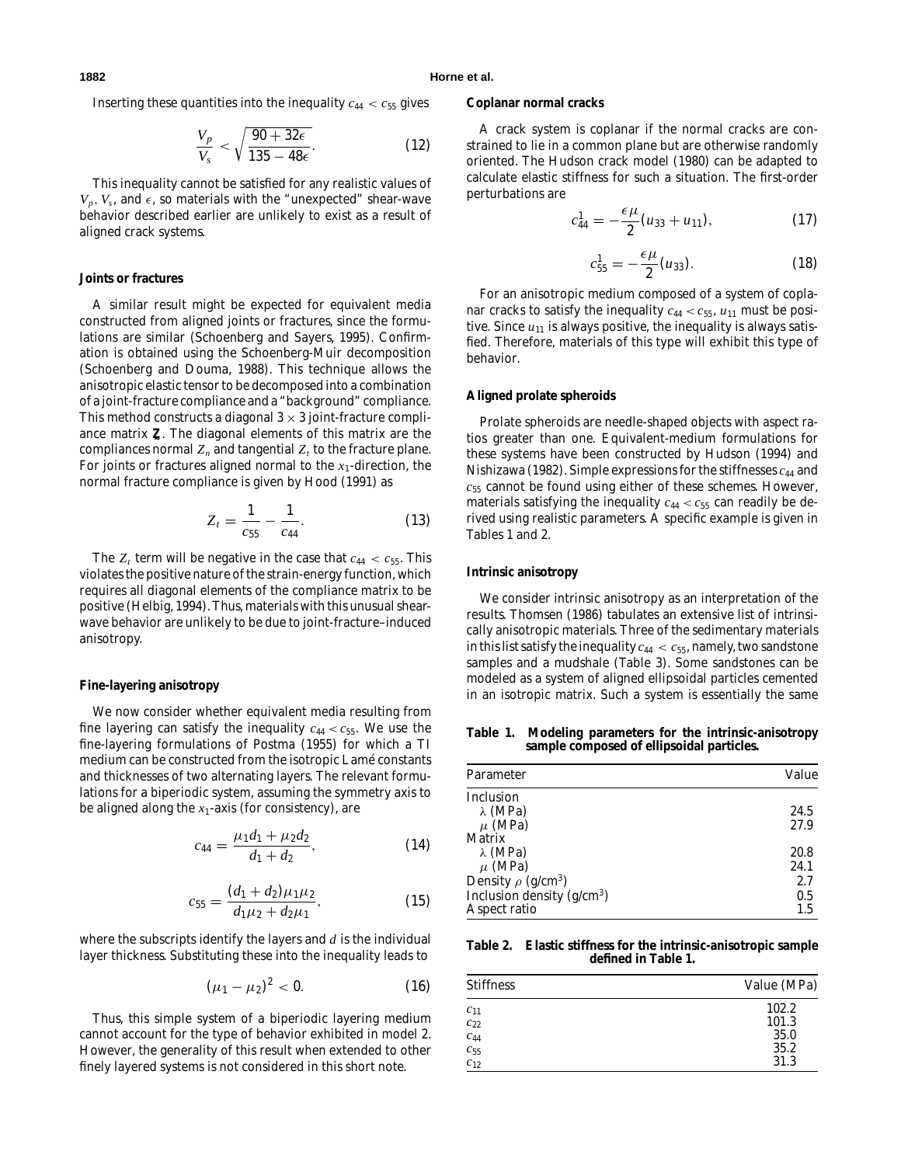Inserting these quantities into the inequality  $c_{44} < c_{55}$  gives

$$
\frac{V_p}{V_s} < \sqrt{\frac{90 + 32\epsilon}{135 - 48\epsilon}}.\tag{12}
$$

This inequality cannot be satisfied for any realistic values of  $V_p$ ,  $V_s$ , and  $\epsilon$ , so materials with the "unexpected" shear-wave behavior described earlier are unlikely to exist as a result of aligned crack systems.

#### **Joints or fractures**

A similar result might be expected for equivalent media constructed from aligned joints or fractures, since the formulations are similar (Schoenberg and Sayers, 1995). Confirmation is obtained using the Schoenberg-Muir decomposition (Schoenberg and Douma, 1988). This technique allows the anisotropic elastic tensor to be decomposed into a combination of a joint-fracture compliance and a "background" compliance. This method constructs a diagonal  $3 \times 3$  joint-fracture compliance matrix **˜ Z**. The diagonal elements of this matrix are the compliances normal  $Z_n$  and tangential  $Z_t$  to the fracture plane. For joints or fractures aligned normal to the  $x_1$ -direction, the normal fracture compliance is given by Hood (1991) as

$$
Z_t = \frac{1}{c_{55}} - \frac{1}{c_{44}}.\tag{13}
$$

The  $Z_t$  term will be negative in the case that  $c_{44} < c_{55}$ . This violates the positive nature of the strain-energy function, which requires all diagonal elements of the compliance matrix to be positive (Helbig, 1994). Thus, materials with this unusual shearwave behavior are unlikely to be due to joint-fracture–induced anisotropy.

#### **Fine-layering anisotropy**

We now consider whether equivalent media resulting from fine layering can satisfy the inequality  $c_{44} < c_{55}$ . We use the fine-layering formulations of Postma (1955) for which a TI medium can be constructed from the isotropic Lamé constants and thicknesses of two alternating layers. The relevant formulations for a biperiodic system, assuming the symmetry axis to be aligned along the  $x_1$ -axis (for consistency), are

$$
c_{44} = \frac{\mu_1 d_1 + \mu_2 d_2}{d_1 + d_2},\tag{14}
$$

$$
c_{55} = \frac{(d_1 + d_2)\mu_1\mu_2}{d_1\mu_2 + d_2\mu_1},\tag{15}
$$

where the subscripts identify the layers and *d* is the individual layer thickness. Substituting these into the inequality leads to

$$
(\mu_1 - \mu_2)^2 < 0. \tag{16}
$$

Thus, this simple system of a biperiodic layering medium cannot account for the type of behavior exhibited in model 2. However, the generality of this result when extended to other finely layered systems is not considered in this short note.

#### **Coplanar normal cracks**

A crack system is coplanar if the normal cracks are constrained to lie in a common plane but are otherwise randomly oriented. The Hudson crack model (1980) can be adapted to calculate elastic stiffness for such a situation. The first-order perturbations are

$$
c_{44}^1 = -\frac{\epsilon \mu}{2} (u_{33} + u_{11}), \tag{17}
$$

$$
c_{55}^1 = -\frac{\epsilon \mu}{2} (u_{33}). \tag{18}
$$

For an anisotropic medium composed of a system of coplanar cracks to satisfy the inequality  $c_{44} < c_{55}$ ,  $u_{11}$  must be positive. Since  $u_{11}$  is always positive, the inequality is always satisfied. Therefore, materials of this type will exhibit this type of behavior.

# **Aligned prolate spheroids**

Prolate spheroids are needle-shaped objects with aspect ratios greater than one. Equivalent-medium formulations for these systems have been constructed by Hudson (1994) and Nishizawa (1982). Simple expressions for the stiffnesses *c*<sup>44</sup> and *c*<sup>55</sup> cannot be found using either of these schemes. However, materials satisfying the inequality  $c_{44} < c_{55}$  can readily be derived using realistic parameters. A specific example is given in Tables 1 and 2.

#### **Intrinsic anisotropy**

We consider intrinsic anisotropy as an interpretation of the results. Thomsen (1986) tabulates an extensive list of intrinsically anisotropic materials. Three of the sedimentary materials in this list satisfy the inequality *c*<sup>44</sup> < *c*55, namely, two sandstone samples and a mudshale (Table 3). Some sandstones can be modeled as a system of aligned ellipsoidal particles cemented in an isotropic matrix. Such a system is essentially the same

**Table 1. Modeling parameters for the intrinsic-anisotropy sample composed of ellipsoidal particles.**

| Parameter                              | Value |
|----------------------------------------|-------|
| Inclusion                              |       |
| $\lambda$ (MPa)                        | 24.5  |
| $\mu$ (MPa)                            | 27.9  |
| Matrix                                 |       |
| $\lambda$ (MPa)                        | 20.8  |
| $\mu$ (MPa)                            | 24.1  |
| Density $\rho$ (g/cm <sup>3</sup> )    | 2.7   |
| Inclusion density (g/cm <sup>3</sup> ) | 0.5   |
| Aspect ratio                           | 1.5   |

**Table 2. Elastic stiffness for the intrinsic-anisotropic sample defined in Table 1.**

| <b>Stiffness</b> | Value (MPa) |
|------------------|-------------|
| $c_{11}$         | 102.2       |
| $c_{22}$         | 101.3       |
| $c_{44}$         | 35.0        |
| $c_{55}$         | 35.2        |
| $c_{12}$         | 31.3        |